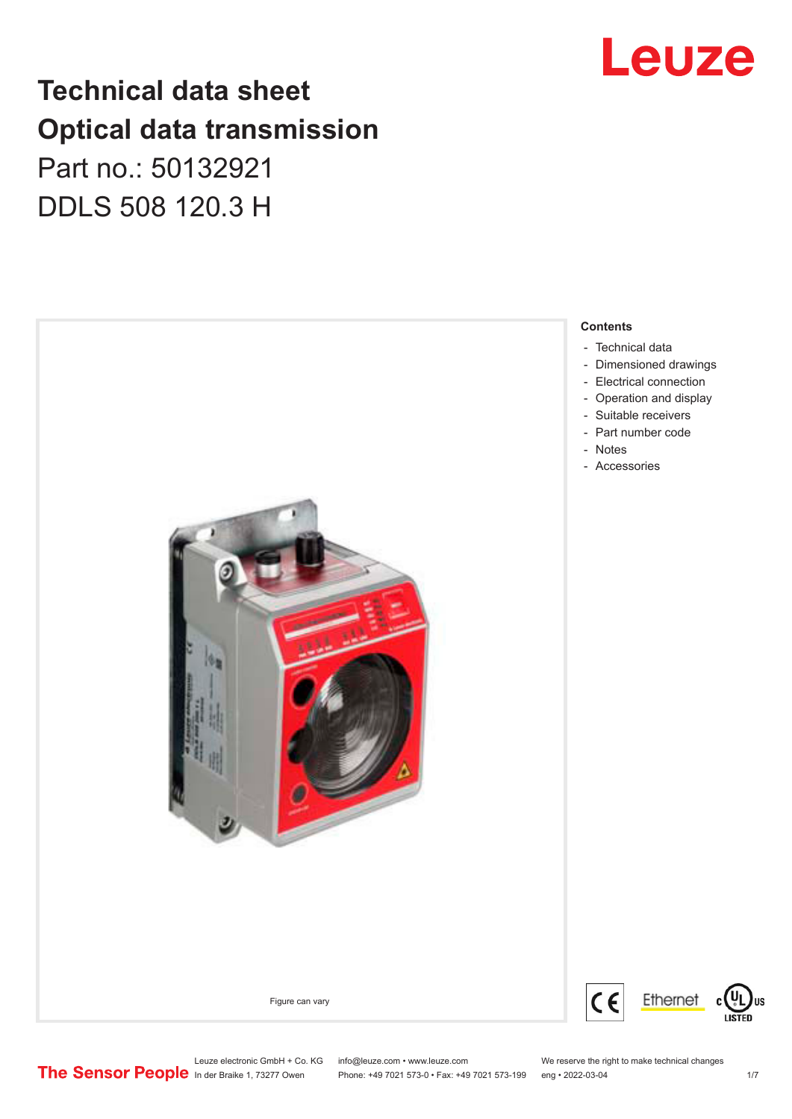## Leuze

## **Technical data sheet Optical data transmission**

Part no.: 50132921 DDLS 508 120.3 H



Leuze electronic GmbH + Co. KG info@leuze.com • www.leuze.com We reserve the right to make technical changes<br>
The Sensor People in der Braike 1, 73277 Owen Phone: +49 7021 573-0 • Fax: +49 7021 573-199 eng • 2022-03-04

Phone: +49 7021 573-0 • Fax: +49 7021 573-199 eng • 2022-03-04 1/7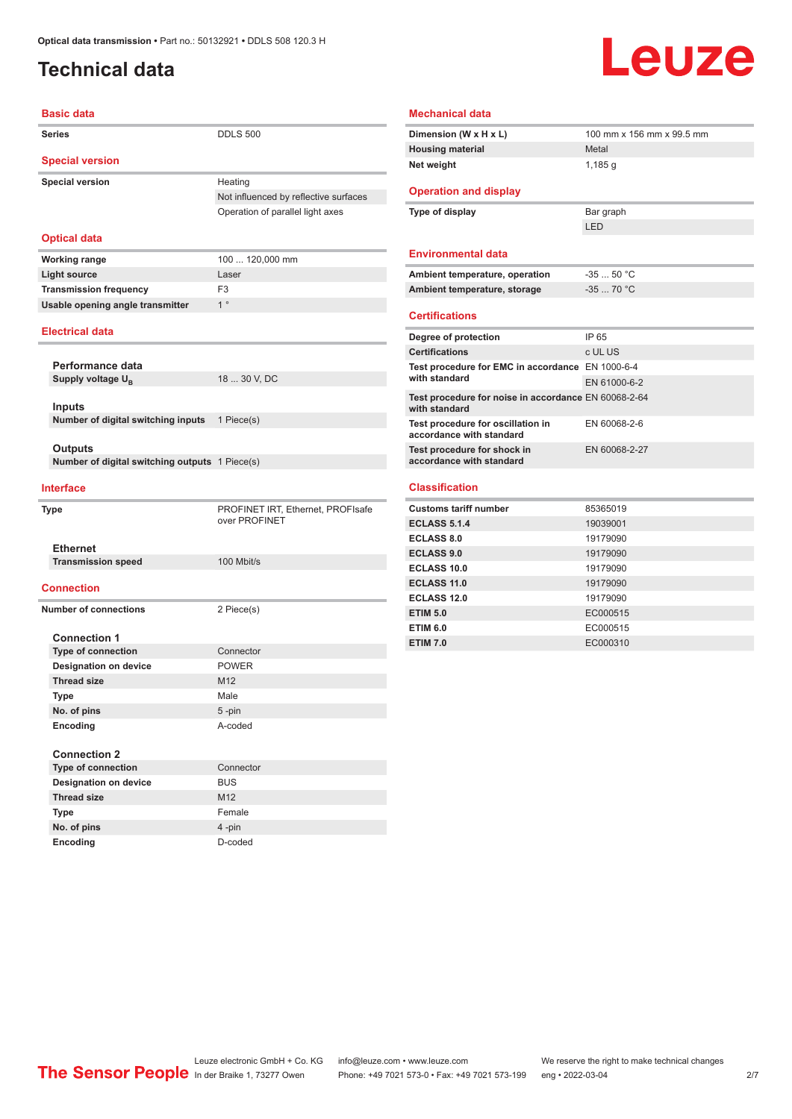### <span id="page-1-0"></span>**Technical data**

# Leuze

| <b>Basic data</b>                                                |                                                    |
|------------------------------------------------------------------|----------------------------------------------------|
| Series                                                           | <b>DDLS 500</b>                                    |
| <b>Special version</b>                                           |                                                    |
| <b>Special version</b>                                           | Heating                                            |
|                                                                  | Not influenced by reflective surfaces              |
|                                                                  | Operation of parallel light axes                   |
| <b>Optical data</b>                                              |                                                    |
| <b>Working range</b>                                             | 100  120,000 mm                                    |
| <b>Light source</b>                                              | Laser                                              |
| <b>Transmission frequency</b>                                    | F <sub>3</sub>                                     |
| Usable opening angle transmitter                                 | $1^{\circ}$                                        |
| <b>Electrical data</b>                                           |                                                    |
| Performance data                                                 |                                                    |
| Supply voltage U <sub>R</sub>                                    | 18  30 V, DC                                       |
|                                                                  |                                                    |
| Inputs                                                           |                                                    |
| Number of digital switching inputs                               | 1 Piece(s)                                         |
|                                                                  |                                                    |
| <b>Outputs</b><br>Number of digital switching outputs 1 Piece(s) |                                                    |
|                                                                  |                                                    |
| <b>Interface</b>                                                 |                                                    |
| Type                                                             | PROFINET IRT, Ethernet, PROFIsafe<br>over PROFINET |
| <b>Ethernet</b>                                                  |                                                    |
| <b>Transmission speed</b>                                        | 100 Mbit/s                                         |
| <b>Connection</b>                                                |                                                    |
| <b>Number of connections</b>                                     | 2 Piece(s)                                         |
| <b>Connection 1</b>                                              |                                                    |
| <b>Type of connection</b>                                        | Connector                                          |
| <b>Designation on device</b>                                     | <b>POWER</b>                                       |
| <b>Thread size</b>                                               | M <sub>12</sub>                                    |
| Type                                                             | Male                                               |
| No. of pins                                                      | 5-pin                                              |
| Encoding                                                         | A-coded                                            |
| <b>Connection 2</b>                                              |                                                    |
| Type of connection                                               | Connector                                          |
| <b>Designation on device</b>                                     | <b>BUS</b>                                         |
| <b>Thread size</b>                                               | M12                                                |

| <b>Mechanical data</b> |  |
|------------------------|--|
|------------------------|--|

| Dimension (W x H x L)                                                 | 100 mm x 156 mm x 99.5 mm |
|-----------------------------------------------------------------------|---------------------------|
| <b>Housing material</b>                                               | Metal                     |
| Net weight                                                            | 1,185q                    |
|                                                                       |                           |
| <b>Operation and display</b>                                          |                           |
| Type of display                                                       | Bar graph                 |
|                                                                       | LED                       |
| <b>Environmental data</b>                                             |                           |
|                                                                       |                           |
| Ambient temperature, operation                                        | $-3550 °C$                |
| Ambient temperature, storage                                          | $-3570 °C$                |
| <b>Certifications</b>                                                 |                           |
|                                                                       |                           |
| Degree of protection                                                  | IP 65                     |
| <b>Certifications</b>                                                 | c UL US                   |
| Test procedure for EMC in accordance EN 1000-6-4<br>with standard     |                           |
|                                                                       | EN 61000-6-2              |
| Test procedure for noise in accordance EN 60068-2-64<br>with standard |                           |
| Test procedure for oscillation in<br>accordance with standard         | EN 60068-2-6              |
| Test procedure for shock in<br>accordance with standard               | EN 60068-2-27             |
|                                                                       |                           |
| <b>Classification</b>                                                 |                           |
| <b>Customs tariff number</b>                                          | 85365019                  |
| <b>ECLASS 5.1.4</b>                                                   | 19039001                  |
| <b>ECLASS 8.0</b>                                                     | 19179090                  |
| <b>ECLASS 9.0</b>                                                     | 19179090                  |
| <b>ECLASS 10.0</b>                                                    | 19179090                  |
| <b>ECLASS 11.0</b>                                                    | 19179090                  |
| <b>ECLASS 12.0</b>                                                    | 19179090                  |

**ETIM 5.0** EC000515 **ETIM 6.0** EC000515 **ETIM 7.0** EC000310

**Type** Female **No. of pins** 4 -pin **Encoding** D-coded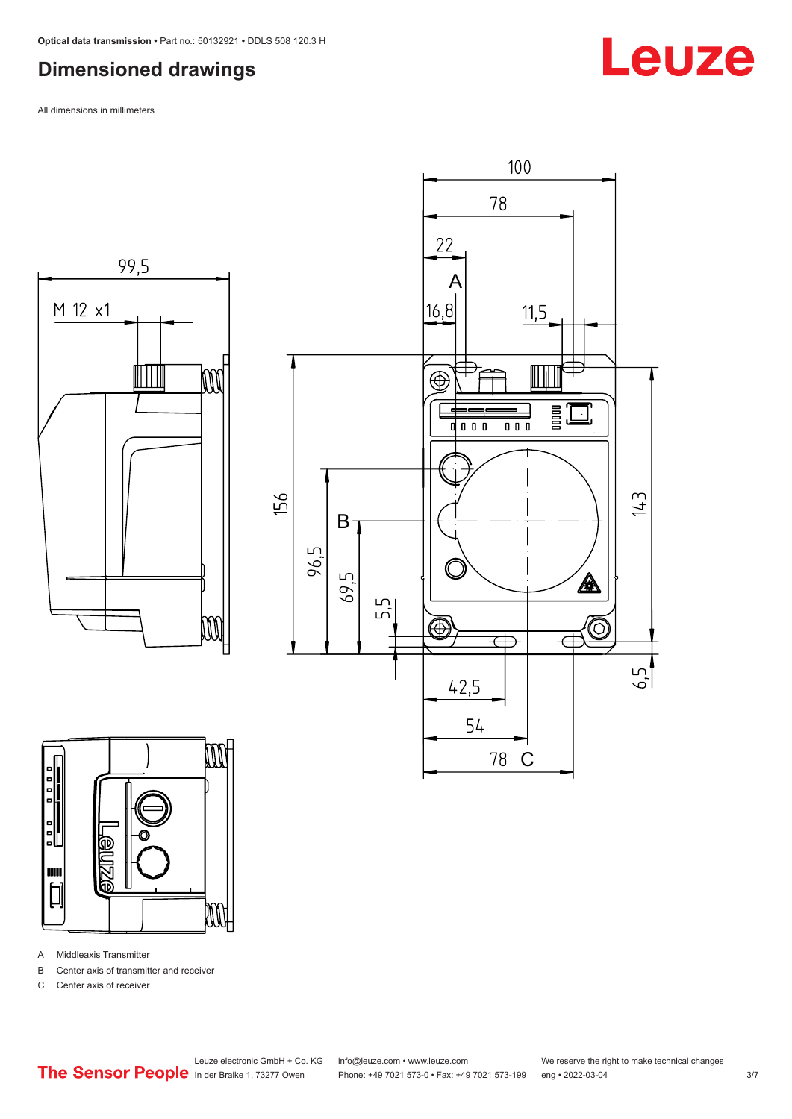### <span id="page-2-0"></span>**Dimensioned drawings**

All dimensions in millimeters







A Middleaxis Transmitter

B Center axis of transmitter and receiver

C Center axis of receiver

Leuze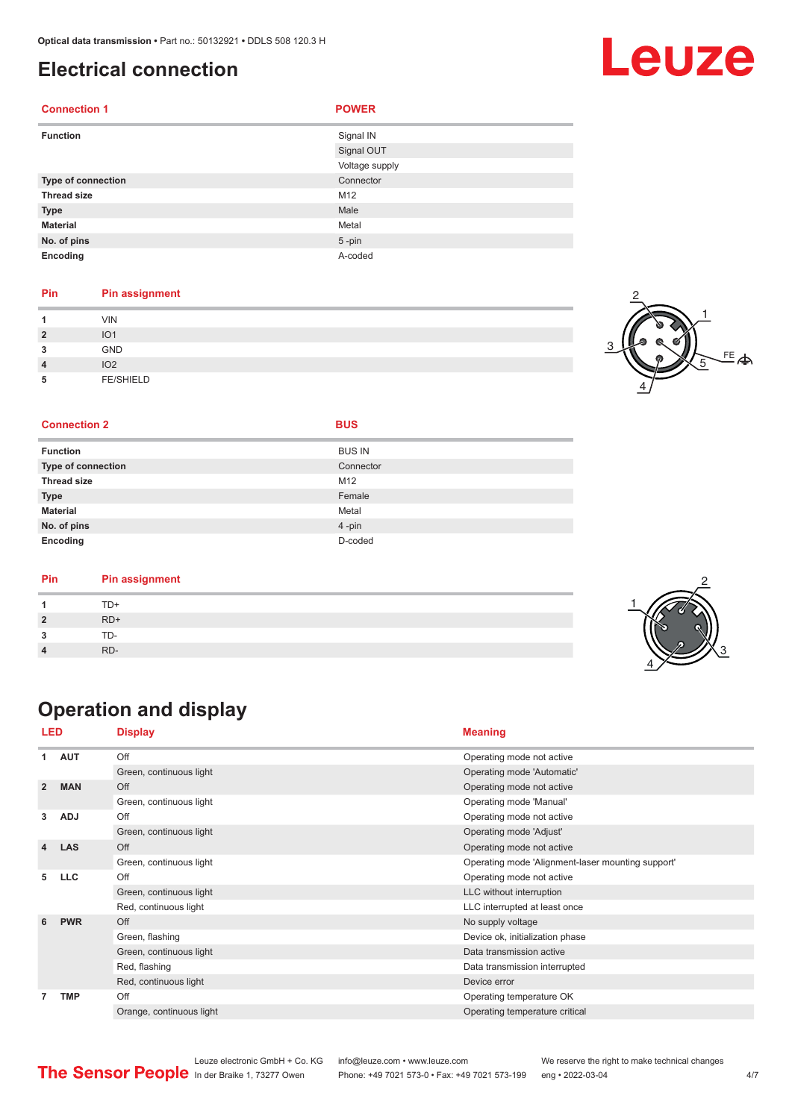#### <span id="page-3-0"></span>**Electrical connection**

| <b>Connection 1</b> | <b>POWER</b>   |
|---------------------|----------------|
| <b>Function</b>     | Signal IN      |
|                     | Signal OUT     |
|                     | Voltage supply |
| Type of connection  | Connector      |
| <b>Thread size</b>  | M12            |
| <b>Type</b>         | Male           |
| <b>Material</b>     | Metal          |
| No. of pins         | $5 - pin$      |
| Encoding            | A-coded        |

#### **Pin Pin assignment**

| и              | <b>VIN</b>       |  |
|----------------|------------------|--|
| $\overline{2}$ | IO <sub>1</sub>  |  |
| 3              | <b>GND</b>       |  |
| $\overline{4}$ | IO <sub>2</sub>  |  |
| 5              | <b>FE/SHIELD</b> |  |



2

3

#### **Connection 2 BUS**

| <b>Function</b>           | <b>BUS IN</b> |
|---------------------------|---------------|
| <b>Type of connection</b> | Connector     |
| <b>Thread size</b>        | M12           |
| <b>Type</b>               | Female        |
| <b>Material</b>           | Metal         |
| No. of pins               | 4-pin         |
| Encoding                  | D-coded       |

| Pin | <b>Pin assignment</b> |  |
|-----|-----------------------|--|
|     | TD+                   |  |
|     | $RD+$                 |  |
|     | TD-                   |  |
|     | RD-                   |  |
|     |                       |  |

### **Operation and display**

| LED                     |            | <b>Display</b>           | <b>Meaning</b>                                    |
|-------------------------|------------|--------------------------|---------------------------------------------------|
| 1                       | <b>AUT</b> | Off                      | Operating mode not active                         |
|                         |            | Green, continuous light  | Operating mode 'Automatic'                        |
| $\overline{2}$          | <b>MAN</b> | Off                      | Operating mode not active                         |
|                         |            | Green, continuous light  | Operating mode 'Manual'                           |
| 3                       | <b>ADJ</b> | Off                      | Operating mode not active                         |
|                         |            | Green, continuous light  | Operating mode 'Adjust'                           |
| $\overline{\mathbf{4}}$ | <b>LAS</b> | Off                      | Operating mode not active                         |
|                         |            | Green, continuous light  | Operating mode 'Alignment-laser mounting support' |
| 5                       | <b>LLC</b> | Off                      | Operating mode not active                         |
|                         |            | Green, continuous light  | LLC without interruption                          |
|                         |            | Red, continuous light    | LLC interrupted at least once                     |
| 6                       | <b>PWR</b> | Off                      | No supply voltage                                 |
|                         |            | Green, flashing          | Device ok, initialization phase                   |
|                         |            | Green, continuous light  | Data transmission active                          |
|                         |            | Red, flashing            | Data transmission interrupted                     |
|                         |            | Red, continuous light    | Device error                                      |
| 7                       | <b>TMP</b> | Off                      | Operating temperature OK                          |
|                         |            | Orange, continuous light | Operating temperature critical                    |

|                                                      | Leuze electronic GmbH + Co. KG info@leuze.com • www.leuze.com  | We reserve the right to make technical changes |  |
|------------------------------------------------------|----------------------------------------------------------------|------------------------------------------------|--|
| <b>The Sensor People</b> In der Braike 1, 73277 Owen | Phone: +49 7021 573-0 • Fax: +49 7021 573-199 eng • 2022-03-04 |                                                |  |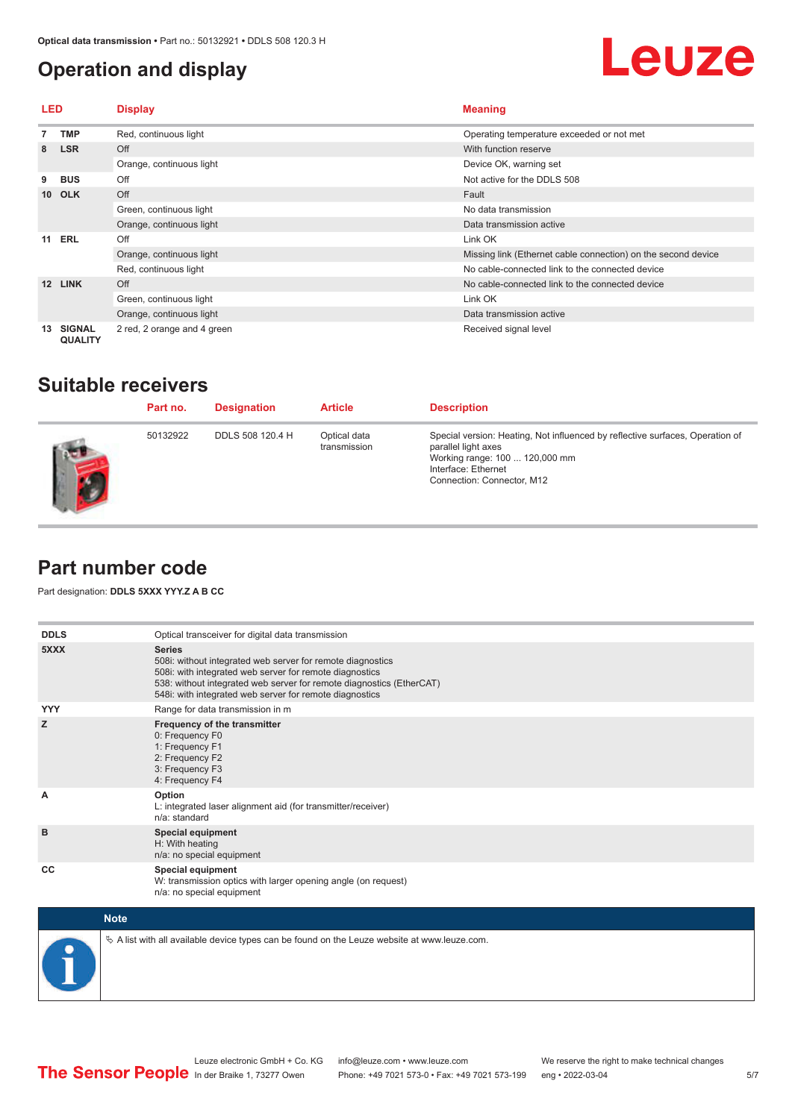### <span id="page-4-0"></span>**Operation and display**

## **Leuze**

| LED |                                 | <b>Display</b>              | <b>Meaning</b>                                                |
|-----|---------------------------------|-----------------------------|---------------------------------------------------------------|
|     | TMP                             | Red, continuous light       | Operating temperature exceeded or not met                     |
| 8   | <b>LSR</b>                      | Off                         | With function reserve                                         |
|     |                                 | Orange, continuous light    | Device OK, warning set                                        |
| 9   | <b>BUS</b>                      | Off                         | Not active for the DDLS 508                                   |
|     | 10 OLK                          | Off                         | Fault                                                         |
|     |                                 | Green, continuous light     | No data transmission                                          |
|     |                                 | Orange, continuous light    | Data transmission active                                      |
| 11  | ERL                             | Off                         | Link OK                                                       |
|     |                                 | Orange, continuous light    | Missing link (Ethernet cable connection) on the second device |
|     |                                 | Red, continuous light       | No cable-connected link to the connected device               |
| 12  | <b>LINK</b>                     | Off                         | No cable-connected link to the connected device               |
|     |                                 | Green, continuous light     | Link OK                                                       |
|     |                                 | Orange, continuous light    | Data transmission active                                      |
| 13  | <b>SIGNAL</b><br><b>QUALITY</b> | 2 red, 2 orange and 4 green | Received signal level                                         |

#### **Suitable receivers**

| Part no. | <b>Designation</b> | <b>Article</b>               | <b>Description</b>                                                                                                                                                                          |
|----------|--------------------|------------------------------|---------------------------------------------------------------------------------------------------------------------------------------------------------------------------------------------|
| 50132922 | DDLS 508 120.4 H   | Optical data<br>transmission | Special version: Heating, Not influenced by reflective surfaces, Operation of<br>parallel light axes<br>Working range: 100  120,000 mm<br>Interface: Ethernet<br>Connection: Connector, M12 |

#### **Part number code**

Part designation: **DDLS 5XXX YYY.Z A B CC**

| <b>DDLS</b> | Optical transceiver for digital data transmission                                                                                                                                                                                                                         |
|-------------|---------------------------------------------------------------------------------------------------------------------------------------------------------------------------------------------------------------------------------------------------------------------------|
| 5XXX        | <b>Series</b><br>508i: without integrated web server for remote diagnostics<br>508i: with integrated web server for remote diagnostics<br>538: without integrated web server for remote diagnostics (EtherCAT)<br>548i: with integrated web server for remote diagnostics |
| <b>YYY</b>  | Range for data transmission in m                                                                                                                                                                                                                                          |
| z           | Frequency of the transmitter<br>0: Frequency F0<br>1: Frequency F1<br>2: Frequency F2<br>3: Frequency F3<br>4: Frequency F4                                                                                                                                               |
| A           | Option<br>L: integrated laser alignment aid (for transmitter/receiver)<br>n/a: standard                                                                                                                                                                                   |
| B           | <b>Special equipment</b><br>H: With heating<br>n/a: no special equipment                                                                                                                                                                                                  |
| CC          | <b>Special equipment</b><br>W: transmission optics with larger opening angle (on request)<br>n/a: no special equipment                                                                                                                                                    |

| <b>Note</b>                                                                                  |
|----------------------------------------------------------------------------------------------|
| ∜ A list with all available device types can be found on the Leuze website at www.leuze.com. |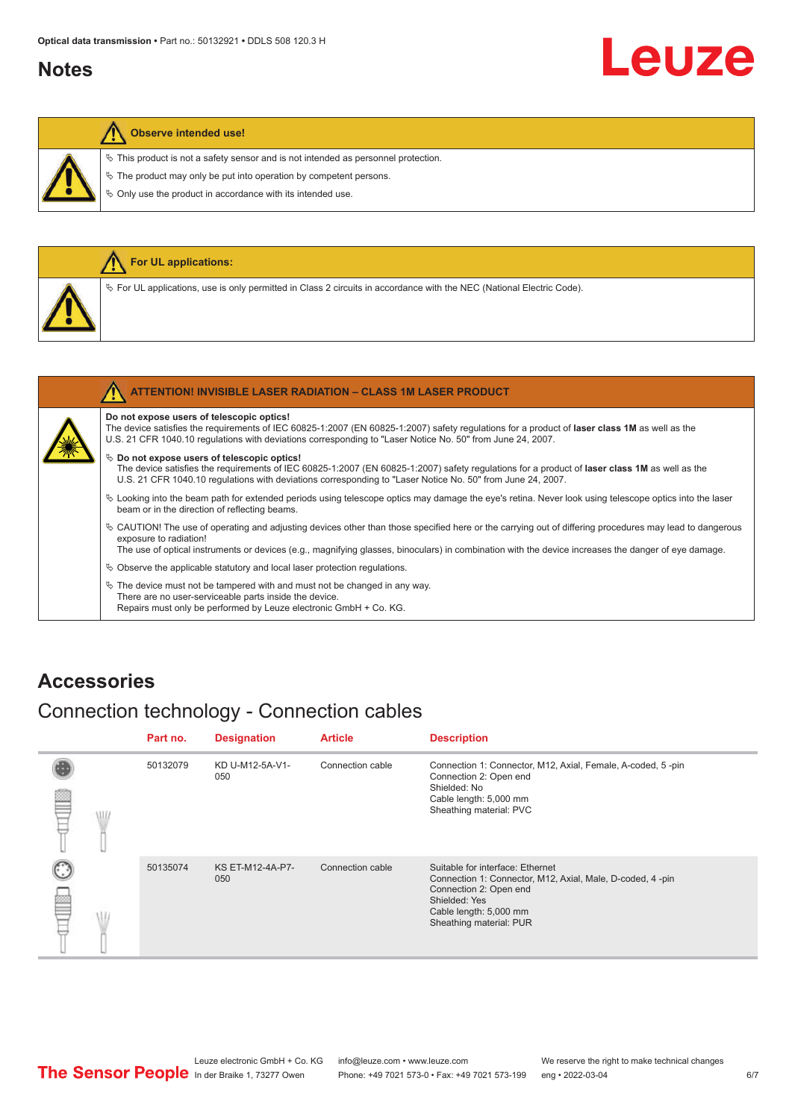#### <span id="page-5-0"></span>**Notes**

# Leuze

#### **Observe intended use!**

 $\ddot{\phi}$  This product is not a safety sensor and is not intended as personnel protection.

 $\&$  The product may only be put into operation by competent persons.

 $\%$  Only use the product in accordance with its intended use.

|  | For UL applications:                                                                                                     |
|--|--------------------------------------------------------------------------------------------------------------------------|
|  | $\%$ For UL applications, use is only permitted in Class 2 circuits in accordance with the NEC (National Electric Code). |
|  |                                                                                                                          |
|  | <b>ATTENTION! INVISIBLE LASER RADIATION - CLASS 1M LASER PRODUCT</b>                                                     |

#### **Do not expose users of telescopic optics!**

The device satisfies the requirements of IEC 60825-1:2007 (EN 60825-1:2007) safety regulations for a product of **laser class 1M** as well as the U.S. 21 CFR 1040.10 regulations with deviations corresponding to "Laser Notice No. 50" from June 24, 2007.

#### $\%$  Do not expose users of telescopic optics!

The device satisfies the requirements of IEC 60825-1:2007 (EN 60825-1:2007) safety regulations for a product of **laser class 1M** as well as the U.S. 21 CFR 1040.10 regulations with deviations corresponding to "Laser Notice No. 50" from June 24, 2007.

- ª Looking into the beam path for extended periods using telescope optics may damage the eye's retina. Never look using telescope optics into the laser beam or in the direction of reflecting beams.
- ª CAUTION! The use of operating and adjusting devices other than those specified here or the carrying out of differing procedures may lead to dangerous exposure to radiation!

The use of optical instruments or devices (e.g., magnifying glasses, binoculars) in combination with the device increases the danger of eye damage.

 $\&$  Observe the applicable statutory and local laser protection regulations.

 $\%$  The device must not be tampered with and must not be changed in any way. There are no user-serviceable parts inside the device. Repairs must only be performed by Leuze electronic GmbH + Co. KG.

#### **Accessories**

#### Connection technology - Connection cables

|           | Part no. | <b>Designation</b>             | <b>Article</b>   | <b>Description</b>                                                                                                                                                                            |
|-----------|----------|--------------------------------|------------------|-----------------------------------------------------------------------------------------------------------------------------------------------------------------------------------------------|
| ₽<br>\ll. | 50132079 | KD U-M12-5A-V1-<br>050         | Connection cable | Connection 1: Connector, M12, Axial, Female, A-coded, 5-pin<br>Connection 2: Open end<br>Shielded: No<br>Cable length: 5,000 mm<br>Sheathing material: PVC                                    |
| œ         | 50135074 | <b>KS ET-M12-4A-P7-</b><br>050 | Connection cable | Suitable for interface: Ethernet<br>Connection 1: Connector, M12, Axial, Male, D-coded, 4-pin<br>Connection 2: Open end<br>Shielded: Yes<br>Cable length: 5,000 mm<br>Sheathing material: PUR |